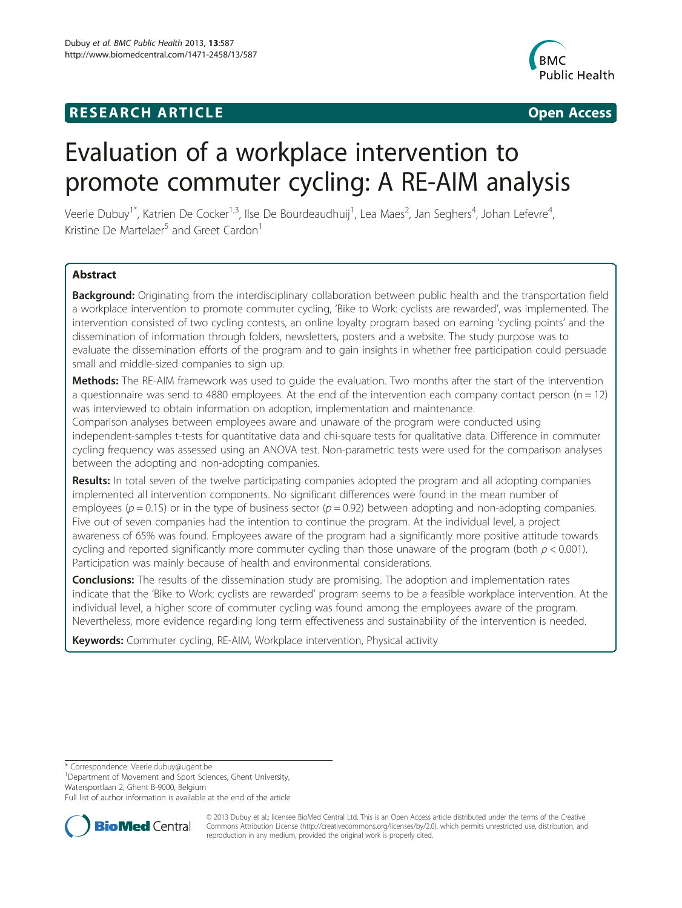## **RESEARCH ARTICLE Example 2008 CONSIDERING CONSIDERING CONSIDERING CONSIDERING CONSIDERING CONSIDERING CONSIDERING CONSIDERING CONSIDERING CONSIDERING CONSIDERING CONSIDERING CONSIDERING CONSIDERING CONSIDERING CONSIDE**



# Evaluation of a workplace intervention to promote commuter cycling: A RE-AIM analysis

Veerle Dubuy<sup>1\*</sup>, Katrien De Cocker<sup>1,3</sup>, Ilse De Bourdeaudhuij<sup>1</sup>, Lea Maes<sup>2</sup>, Jan Seghers<sup>4</sup>, Johan Lefevre<sup>4</sup> , Kristine De Martelaer<sup>5</sup> and Greet Cardon<sup>1</sup>

## Abstract

Background: Originating from the interdisciplinary collaboration between public health and the transportation field a workplace intervention to promote commuter cycling, 'Bike to Work: cyclists are rewarded', was implemented. The intervention consisted of two cycling contests, an online loyalty program based on earning 'cycling points' and the dissemination of information through folders, newsletters, posters and a website. The study purpose was to evaluate the dissemination efforts of the program and to gain insights in whether free participation could persuade small and middle-sized companies to sign up.

**Methods:** The RE-AIM framework was used to quide the evaluation. Two months after the start of the intervention a questionnaire was send to 4880 employees. At the end of the intervention each company contact person ( $n = 12$ ) was interviewed to obtain information on adoption, implementation and maintenance.

Comparison analyses between employees aware and unaware of the program were conducted using independent-samples t-tests for quantitative data and chi-square tests for qualitative data. Difference in commuter cycling frequency was assessed using an ANOVA test. Non-parametric tests were used for the comparison analyses between the adopting and non-adopting companies.

Results: In total seven of the twelve participating companies adopted the program and all adopting companies implemented all intervention components. No significant differences were found in the mean number of employees ( $p = 0.15$ ) or in the type of business sector ( $p = 0.92$ ) between adopting and non-adopting companies. Five out of seven companies had the intention to continue the program. At the individual level, a project awareness of 65% was found. Employees aware of the program had a significantly more positive attitude towards cycling and reported significantly more commuter cycling than those unaware of the program (both  $p < 0.001$ ). Participation was mainly because of health and environmental considerations.

**Conclusions:** The results of the dissemination study are promising. The adoption and implementation rates indicate that the 'Bike to Work: cyclists are rewarded' program seems to be a feasible workplace intervention. At the individual level, a higher score of commuter cycling was found among the employees aware of the program. Nevertheless, more evidence regarding long term effectiveness and sustainability of the intervention is needed.

Keywords: Commuter cycling, RE-AIM, Workplace intervention, Physical activity

\* Correspondence: [Veerle.dubuy@ugent.be](mailto:Veerle.dubuy@ugent.be) <sup>1</sup>

<sup>1</sup>Department of Movement and Sport Sciences, Ghent University, Watersportlaan 2, Ghent B-9000, Belgium

Full list of author information is available at the end of the article



© 2013 Dubuy et al.; licensee BioMed Central Ltd. This is an Open Access article distributed under the terms of the Creative Commons Attribution License [\(http://creativecommons.org/licenses/by/2.0\)](http://creativecommons.org/licenses/by/2.0), which permits unrestricted use, distribution, and reproduction in any medium, provided the original work is properly cited.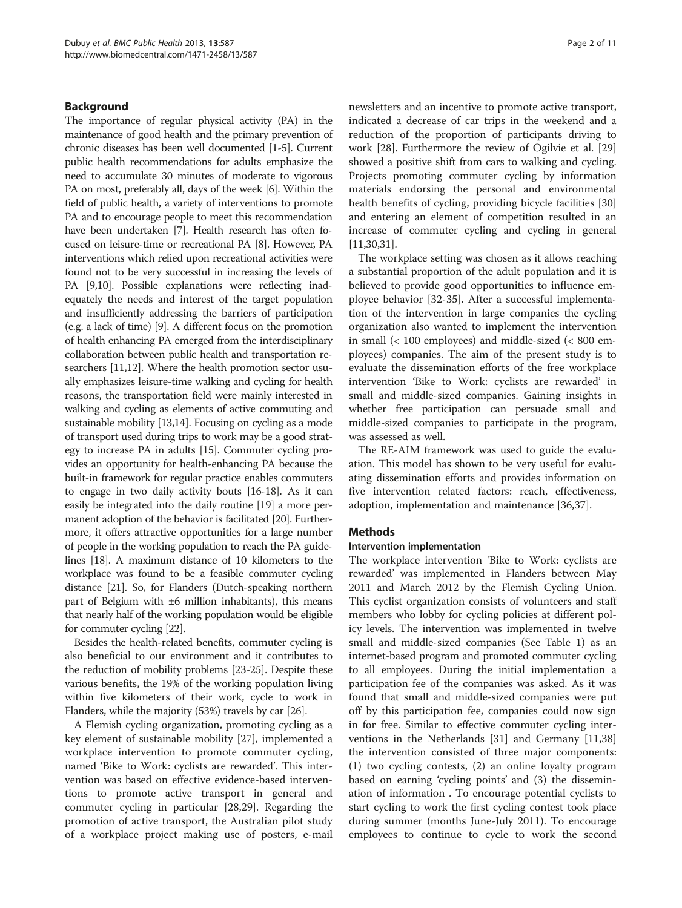## Background

The importance of regular physical activity (PA) in the maintenance of good health and the primary prevention of chronic diseases has been well documented [[1-5\]](#page-9-0). Current public health recommendations for adults emphasize the need to accumulate 30 minutes of moderate to vigorous PA on most, preferably all, days of the week [[6\]](#page-9-0). Within the field of public health, a variety of interventions to promote PA and to encourage people to meet this recommendation have been undertaken [[7](#page-9-0)]. Health research has often focused on leisure-time or recreational PA [[8](#page-9-0)]. However, PA interventions which relied upon recreational activities were found not to be very successful in increasing the levels of PA [\[9,10](#page-9-0)]. Possible explanations were reflecting inadequately the needs and interest of the target population and insufficiently addressing the barriers of participation (e.g. a lack of time) [\[9\]](#page-9-0). A different focus on the promotion of health enhancing PA emerged from the interdisciplinary collaboration between public health and transportation researchers [\[11,12](#page-9-0)]. Where the health promotion sector usually emphasizes leisure-time walking and cycling for health reasons, the transportation field were mainly interested in walking and cycling as elements of active commuting and sustainable mobility [[13,14\]](#page-9-0). Focusing on cycling as a mode of transport used during trips to work may be a good strategy to increase PA in adults [\[15\]](#page-9-0). Commuter cycling provides an opportunity for health-enhancing PA because the built-in framework for regular practice enables commuters to engage in two daily activity bouts [[16](#page-9-0)-[18](#page-9-0)]. As it can easily be integrated into the daily routine [\[19\]](#page-9-0) a more permanent adoption of the behavior is facilitated [\[20](#page-9-0)]. Furthermore, it offers attractive opportunities for a large number of people in the working population to reach the PA guidelines [\[18\]](#page-9-0). A maximum distance of 10 kilometers to the workplace was found to be a feasible commuter cycling distance [\[21\]](#page-9-0). So, for Flanders (Dutch-speaking northern part of Belgium with ±6 million inhabitants), this means that nearly half of the working population would be eligible for commuter cycling [\[22\]](#page-9-0).

Besides the health-related benefits, commuter cycling is also beneficial to our environment and it contributes to the reduction of mobility problems [\[23-25](#page-9-0)]. Despite these various benefits, the 19% of the working population living within five kilometers of their work, cycle to work in Flanders, while the majority (53%) travels by car [[26](#page-9-0)].

A Flemish cycling organization, promoting cycling as a key element of sustainable mobility [\[27](#page-9-0)], implemented a workplace intervention to promote commuter cycling, named 'Bike to Work: cyclists are rewarded'. This intervention was based on effective evidence-based interventions to promote active transport in general and commuter cycling in particular [[28,29\]](#page-9-0). Regarding the promotion of active transport, the Australian pilot study of a workplace project making use of posters, e-mail

newsletters and an incentive to promote active transport, indicated a decrease of car trips in the weekend and a reduction of the proportion of participants driving to work [\[28](#page-9-0)]. Furthermore the review of Ogilvie et al. [[29](#page-9-0)] showed a positive shift from cars to walking and cycling. Projects promoting commuter cycling by information materials endorsing the personal and environmental health benefits of cycling, providing bicycle facilities [[30](#page-9-0)] and entering an element of competition resulted in an increase of commuter cycling and cycling in general [[11,30,31\]](#page-9-0).

The workplace setting was chosen as it allows reaching a substantial proportion of the adult population and it is believed to provide good opportunities to influence employee behavior [[32](#page-9-0)-[35\]](#page-9-0). After a successful implementation of the intervention in large companies the cycling organization also wanted to implement the intervention in small (< 100 employees) and middle-sized (< 800 employees) companies. The aim of the present study is to evaluate the dissemination efforts of the free workplace intervention 'Bike to Work: cyclists are rewarded' in small and middle-sized companies. Gaining insights in whether free participation can persuade small and middle-sized companies to participate in the program, was assessed as well.

The RE-AIM framework was used to guide the evaluation. This model has shown to be very useful for evaluating dissemination efforts and provides information on five intervention related factors: reach, effectiveness, adoption, implementation and maintenance [[36,37\]](#page-9-0).

## **Methods**

## Intervention implementation

The workplace intervention 'Bike to Work: cyclists are rewarded' was implemented in Flanders between May 2011 and March 2012 by the Flemish Cycling Union. This cyclist organization consists of volunteers and staff members who lobby for cycling policies at different policy levels. The intervention was implemented in twelve small and middle-sized companies (See Table [1\)](#page-2-0) as an internet-based program and promoted commuter cycling to all employees. During the initial implementation a participation fee of the companies was asked. As it was found that small and middle-sized companies were put off by this participation fee, companies could now sign in for free. Similar to effective commuter cycling interventions in the Netherlands [\[31\]](#page-9-0) and Germany [[11](#page-9-0),[38](#page-9-0)] the intervention consisted of three major components: (1) two cycling contests, (2) an online loyalty program based on earning 'cycling points' and (3) the dissemination of information . To encourage potential cyclists to start cycling to work the first cycling contest took place during summer (months June-July 2011). To encourage employees to continue to cycle to work the second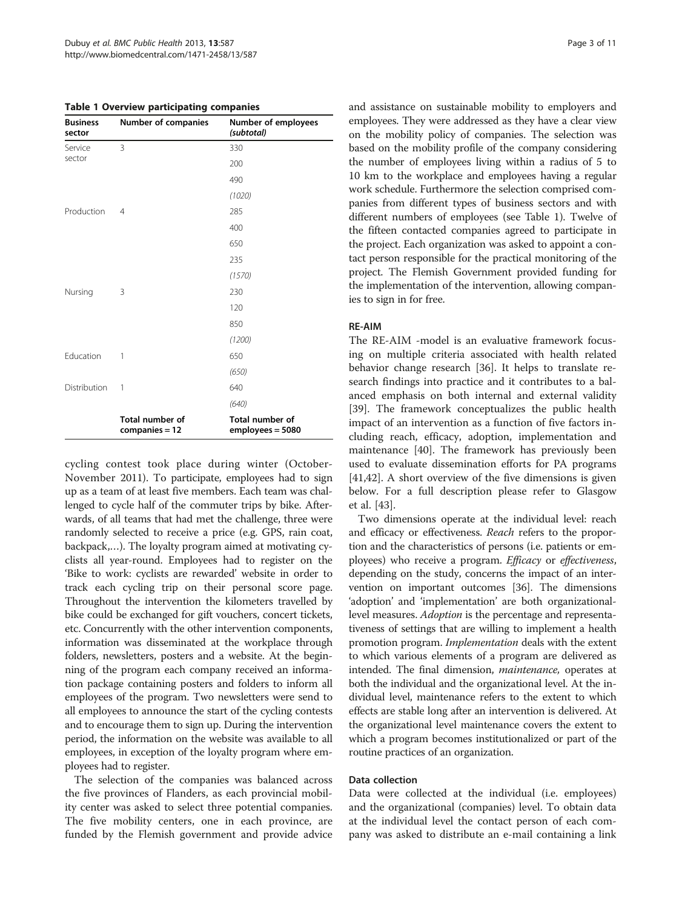<span id="page-2-0"></span>Table 1 Overview participating companies

| <b>Business</b><br>sector | Number of companies                      | Number of employees<br>(subtotal)          |
|---------------------------|------------------------------------------|--------------------------------------------|
| Service                   | 3                                        | 330                                        |
| sector                    |                                          | 200                                        |
|                           |                                          | 490                                        |
|                           |                                          | (1020)                                     |
| Production                | 4                                        | 285                                        |
|                           |                                          | 400                                        |
|                           |                                          | 650                                        |
|                           |                                          | 235                                        |
|                           |                                          | (1570)                                     |
| Nursing                   | 3                                        | 230                                        |
|                           |                                          | 120                                        |
|                           |                                          | 850                                        |
|                           |                                          | (1200)                                     |
| Education                 | 1                                        | 650                                        |
|                           |                                          | (650)                                      |
| Distribution              | 1                                        | 640                                        |
|                           |                                          | (640)                                      |
|                           | <b>Total number of</b><br>companies = 12 | <b>Total number of</b><br>employees = 5080 |

cycling contest took place during winter (October-November 2011). To participate, employees had to sign up as a team of at least five members. Each team was challenged to cycle half of the commuter trips by bike. Afterwards, of all teams that had met the challenge, three were randomly selected to receive a price (e.g. GPS, rain coat, backpack,…). The loyalty program aimed at motivating cyclists all year-round. Employees had to register on the 'Bike to work: cyclists are rewarded' website in order to track each cycling trip on their personal score page. Throughout the intervention the kilometers travelled by bike could be exchanged for gift vouchers, concert tickets, etc. Concurrently with the other intervention components, information was disseminated at the workplace through folders, newsletters, posters and a website. At the beginning of the program each company received an information package containing posters and folders to inform all employees of the program. Two newsletters were send to all employees to announce the start of the cycling contests and to encourage them to sign up. During the intervention period, the information on the website was available to all employees, in exception of the loyalty program where employees had to register.

The selection of the companies was balanced across the five provinces of Flanders, as each provincial mobility center was asked to select three potential companies. The five mobility centers, one in each province, are funded by the Flemish government and provide advice and assistance on sustainable mobility to employers and employees. They were addressed as they have a clear view on the mobility policy of companies. The selection was based on the mobility profile of the company considering the number of employees living within a radius of 5 to 10 km to the workplace and employees having a regular work schedule. Furthermore the selection comprised companies from different types of business sectors and with different numbers of employees (see Table 1). Twelve of the fifteen contacted companies agreed to participate in the project. Each organization was asked to appoint a contact person responsible for the practical monitoring of the project. The Flemish Government provided funding for the implementation of the intervention, allowing companies to sign in for free.

## RE-AIM

The RE-AIM -model is an evaluative framework focusing on multiple criteria associated with health related behavior change research [[36\]](#page-9-0). It helps to translate research findings into practice and it contributes to a balanced emphasis on both internal and external validity [[39\]](#page-10-0). The framework conceptualizes the public health impact of an intervention as a function of five factors including reach, efficacy, adoption, implementation and maintenance [[40\]](#page-10-0). The framework has previously been used to evaluate dissemination efforts for PA programs [[41,42\]](#page-10-0). A short overview of the five dimensions is given below. For a full description please refer to Glasgow et al. [\[43](#page-10-0)].

Two dimensions operate at the individual level: reach and efficacy or effectiveness. Reach refers to the proportion and the characteristics of persons (i.e. patients or employees) who receive a program. Efficacy or effectiveness, depending on the study, concerns the impact of an intervention on important outcomes [[36](#page-9-0)]. The dimensions 'adoption' and 'implementation' are both organizationallevel measures. Adoption is the percentage and representativeness of settings that are willing to implement a health promotion program. *Implementation* deals with the extent to which various elements of a program are delivered as intended. The final dimension, *maintenance*, operates at both the individual and the organizational level. At the individual level, maintenance refers to the extent to which effects are stable long after an intervention is delivered. At the organizational level maintenance covers the extent to which a program becomes institutionalized or part of the routine practices of an organization.

#### Data collection

Data were collected at the individual (i.e. employees) and the organizational (companies) level. To obtain data at the individual level the contact person of each company was asked to distribute an e-mail containing a link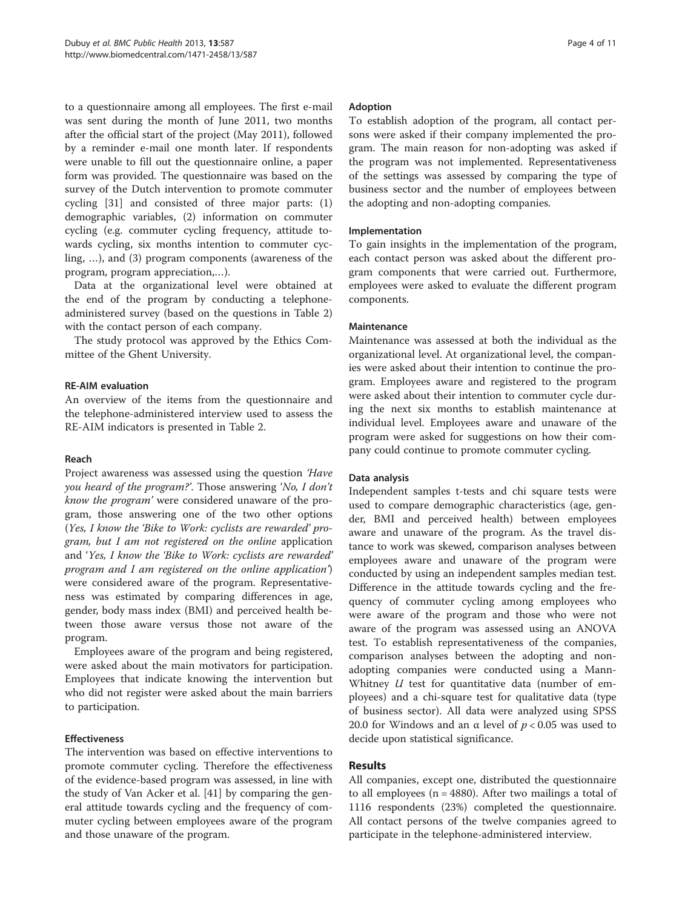to a questionnaire among all employees. The first e-mail was sent during the month of June 2011, two months after the official start of the project (May 2011), followed by a reminder e-mail one month later. If respondents were unable to fill out the questionnaire online, a paper form was provided. The questionnaire was based on the survey of the Dutch intervention to promote commuter cycling [[31](#page-9-0)] and consisted of three major parts: (1) demographic variables, (2) information on commuter cycling (e.g. commuter cycling frequency, attitude towards cycling, six months intention to commuter cycling, …), and (3) program components (awareness of the program, program appreciation,…).

Data at the organizational level were obtained at the end of the program by conducting a telephoneadministered survey (based on the questions in Table [2](#page-4-0)) with the contact person of each company.

The study protocol was approved by the Ethics Committee of the Ghent University.

## RE-AIM evaluation

An overview of the items from the questionnaire and the telephone-administered interview used to assess the RE-AIM indicators is presented in Table [2](#page-4-0).

#### Reach

Project awareness was assessed using the question 'Have you heard of the program?'. Those answering 'No, I don't know the program' were considered unaware of the program, those answering one of the two other options (Yes, I know the 'Bike to Work: cyclists are rewarded' program, but I am not registered on the online application and 'Yes, I know the 'Bike to Work: cyclists are rewarded' program and I am registered on the online application') were considered aware of the program. Representativeness was estimated by comparing differences in age, gender, body mass index (BMI) and perceived health between those aware versus those not aware of the program.

Employees aware of the program and being registered, were asked about the main motivators for participation. Employees that indicate knowing the intervention but who did not register were asked about the main barriers to participation.

## Effectiveness

The intervention was based on effective interventions to promote commuter cycling. Therefore the effectiveness of the evidence-based program was assessed, in line with the study of Van Acker et al. [\[41\]](#page-10-0) by comparing the general attitude towards cycling and the frequency of commuter cycling between employees aware of the program and those unaware of the program.

#### Adoption

To establish adoption of the program, all contact persons were asked if their company implemented the program. The main reason for non-adopting was asked if the program was not implemented. Representativeness of the settings was assessed by comparing the type of business sector and the number of employees between the adopting and non-adopting companies.

## Implementation

To gain insights in the implementation of the program, each contact person was asked about the different program components that were carried out. Furthermore, employees were asked to evaluate the different program components.

## **Maintenance**

Maintenance was assessed at both the individual as the organizational level. At organizational level, the companies were asked about their intention to continue the program. Employees aware and registered to the program were asked about their intention to commuter cycle during the next six months to establish maintenance at individual level. Employees aware and unaware of the program were asked for suggestions on how their company could continue to promote commuter cycling.

#### Data analysis

Independent samples t-tests and chi square tests were used to compare demographic characteristics (age, gender, BMI and perceived health) between employees aware and unaware of the program. As the travel distance to work was skewed, comparison analyses between employees aware and unaware of the program were conducted by using an independent samples median test. Difference in the attitude towards cycling and the frequency of commuter cycling among employees who were aware of the program and those who were not aware of the program was assessed using an ANOVA test. To establish representativeness of the companies, comparison analyses between the adopting and nonadopting companies were conducted using a Mann-Whitney  $U$  test for quantitative data (number of employees) and a chi-square test for qualitative data (type of business sector). All data were analyzed using SPSS 20.0 for Windows and an  $\alpha$  level of  $p < 0.05$  was used to decide upon statistical significance.

## Results

All companies, except one, distributed the questionnaire to all employees (n = 4880). After two mailings a total of 1116 respondents (23%) completed the questionnaire. All contact persons of the twelve companies agreed to participate in the telephone-administered interview.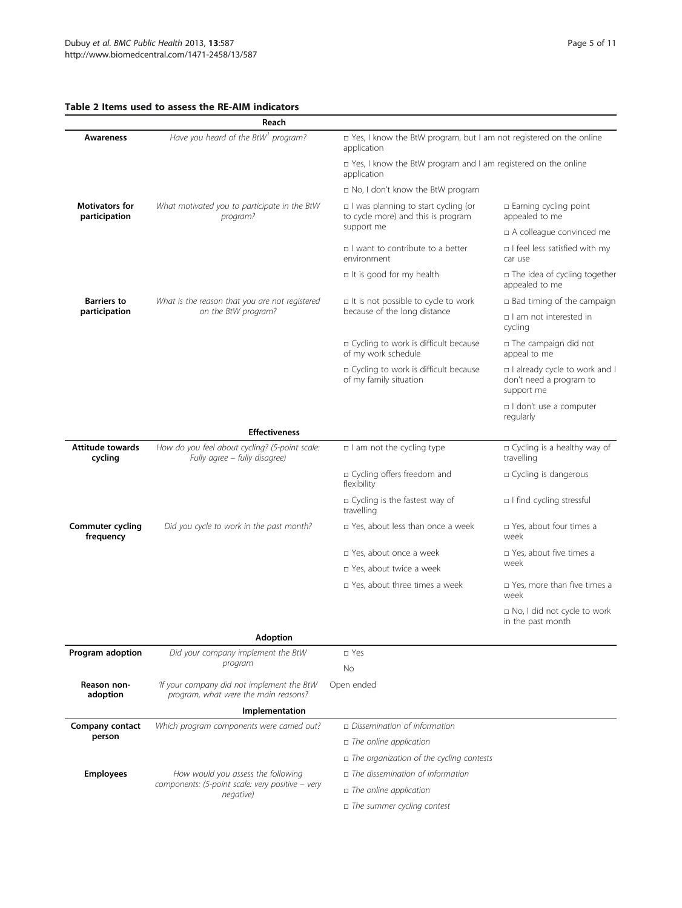## <span id="page-4-0"></span>Table 2 Items used to assess the RE-AIM indicators

|                                        | Reach                                                                              |                                                                                     |                                                                        |  |  |
|----------------------------------------|------------------------------------------------------------------------------------|-------------------------------------------------------------------------------------|------------------------------------------------------------------------|--|--|
| Awareness                              | Have you heard of the BtW <sup>1</sup> program?                                    | □ Yes, I know the BtW program, but I am not registered on the online<br>application |                                                                        |  |  |
|                                        |                                                                                    | $\Box$ Yes, I know the BtW program and I am registered on the online<br>application |                                                                        |  |  |
|                                        |                                                                                    | □ No, I don't know the BtW program                                                  |                                                                        |  |  |
| <b>Motivators for</b><br>participation | What motivated you to participate in the BtW<br>program?                           | □ I was planning to start cycling (or<br>to cycle more) and this is program         | □ Earning cycling point<br>appealed to me                              |  |  |
|                                        |                                                                                    | support me                                                                          | □ A colleague convinced me                                             |  |  |
|                                        |                                                                                    | □ I want to contribute to a better<br>environment                                   | $\Box$ I feel less satisfied with my<br>car use                        |  |  |
|                                        |                                                                                    | $\Box$ It is good for my health                                                     | □ The idea of cycling together<br>appealed to me                       |  |  |
| <b>Barriers to</b>                     | What is the reason that you are not registered                                     | □ It is not possible to cycle to work                                               | $\Box$ Bad timing of the campaign                                      |  |  |
| participation                          | on the BtW program?                                                                | because of the long distance                                                        | □ I am not interested in<br>cycling                                    |  |  |
|                                        |                                                                                    | □ Cycling to work is difficult because<br>of my work schedule                       | □ The campaign did not<br>appeal to me                                 |  |  |
|                                        |                                                                                    | □ Cycling to work is difficult because<br>of my family situation                    | I already cycle to work and I<br>don't need a program to<br>support me |  |  |
|                                        |                                                                                    |                                                                                     | I don't use a computer<br>regularly                                    |  |  |
|                                        | <b>Effectiveness</b>                                                               |                                                                                     |                                                                        |  |  |
| <b>Attitude towards</b><br>cycling     | How do you feel about cycling? (5-point scale:<br>Fully agree - fully disagree)    | $\Box$ I am not the cycling type                                                    | n Cycling is a healthy way of<br>travelling                            |  |  |
|                                        |                                                                                    | □ Cycling offers freedom and<br>flexibility                                         | □ Cycling is dangerous                                                 |  |  |
|                                        |                                                                                    | □ Cycling is the fastest way of<br>travelling                                       | □ I find cycling stressful                                             |  |  |
| Commuter cycling<br>frequency          | Did you cycle to work in the past month?                                           | $\Box$ Yes, about less than once a week                                             | □ Yes, about four times a<br>week                                      |  |  |
|                                        |                                                                                    | □ Yes, about once a week                                                            | □ Yes, about five times a<br>week                                      |  |  |
|                                        |                                                                                    | p Yes, about twice a week                                                           |                                                                        |  |  |
|                                        |                                                                                    | □ Yes, about three times a week                                                     | □ Yes, more than five times a<br>week                                  |  |  |
|                                        |                                                                                    |                                                                                     | □ No, I did not cycle to work<br>in the past month                     |  |  |
|                                        | <b>Adoption</b>                                                                    |                                                                                     |                                                                        |  |  |
| Program adoption                       | Did your company implement the BtW<br>program                                      | □ Yes                                                                               |                                                                        |  |  |
| Reason non-<br>adoption                | 'If your company did not implement the BtW<br>program, what were the main reasons? | <b>No</b><br>Open ended                                                             |                                                                        |  |  |
|                                        | Implementation                                                                     |                                                                                     |                                                                        |  |  |
| Company contact                        | Which program components were carried out?                                         | □ Dissemination of information                                                      |                                                                        |  |  |
| person                                 |                                                                                    | $\Box$ The online application                                                       |                                                                        |  |  |
|                                        |                                                                                    | $\Box$ The organization of the cycling contests                                     |                                                                        |  |  |
| <b>Employees</b>                       | How would you assess the following                                                 | $\Box$ The dissemination of information                                             |                                                                        |  |  |
|                                        | components: (5-point scale: very positive - very<br>negative)                      | $\Box$ The online application                                                       |                                                                        |  |  |
|                                        |                                                                                    | □ The summer cycling contest                                                        |                                                                        |  |  |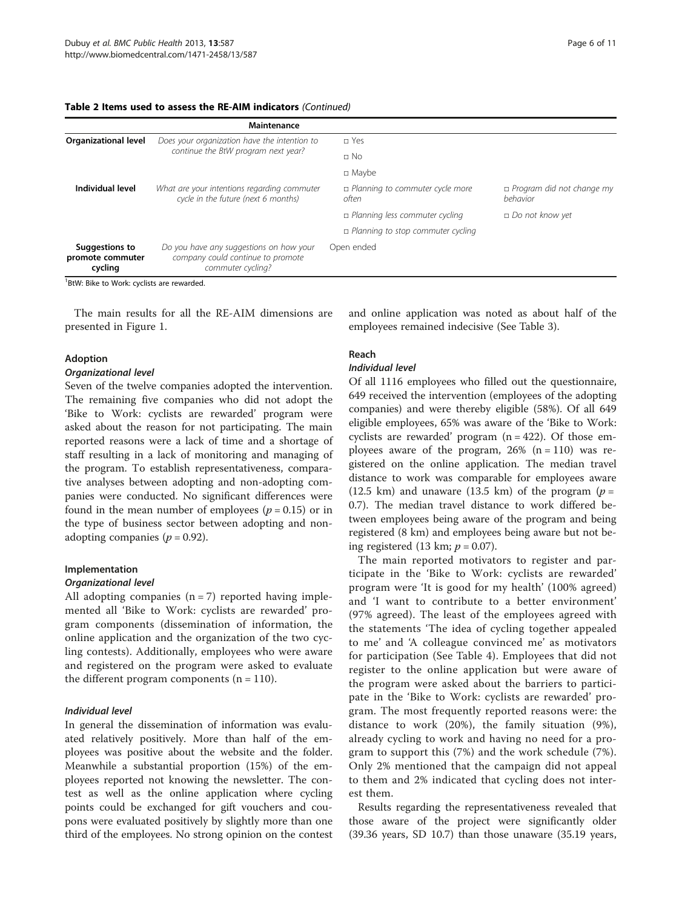| Table 2 Items used to assess the RE-AIM indicators (Continued) |  |  |  |  |  |
|----------------------------------------------------------------|--|--|--|--|--|
|----------------------------------------------------------------|--|--|--|--|--|

|                                               | Maintenance                                                                                       |                                            |                                              |
|-----------------------------------------------|---------------------------------------------------------------------------------------------------|--------------------------------------------|----------------------------------------------|
| <b>Organizational level</b>                   | Does your organization have the intention to                                                      | □ Yes                                      |                                              |
|                                               | continue the BtW program next year?                                                               | $\Box$ No                                  |                                              |
|                                               |                                                                                                   | $\Box$ Maybe                               |                                              |
| Individual level                              | What are your intentions regarding commuter<br>cycle in the future (next 6 months)                | □ Planning to commuter cycle more<br>often | $\Box$ Program did not change my<br>behavior |
|                                               |                                                                                                   | planning less commuter cycling             | $\Box$ Do not know yet                       |
|                                               |                                                                                                   | planning to stop commuter cycling          |                                              |
| Suggestions to<br>promote commuter<br>cycling | Do you have any suggestions on how your<br>company could continue to promote<br>commuter cycling? | Open ended                                 |                                              |

<sup>1</sup>BtW: Bike to Work: cyclists are rewarded.

The main results for all the RE-AIM dimensions are presented in Figure [1.](#page-6-0)

#### Adoption

#### Organizational level

Seven of the twelve companies adopted the intervention. The remaining five companies who did not adopt the 'Bike to Work: cyclists are rewarded' program were asked about the reason for not participating. The main reported reasons were a lack of time and a shortage of staff resulting in a lack of monitoring and managing of the program. To establish representativeness, comparative analyses between adopting and non-adopting companies were conducted. No significant differences were found in the mean number of employees ( $p = 0.15$ ) or in the type of business sector between adopting and nonadopting companies ( $p = 0.92$ ).

## Implementation

#### Organizational level

All adopting companies  $(n = 7)$  reported having implemented all 'Bike to Work: cyclists are rewarded' program components (dissemination of information, the online application and the organization of the two cycling contests). Additionally, employees who were aware and registered on the program were asked to evaluate the different program components  $(n = 110)$ .

## Individual level

In general the dissemination of information was evaluated relatively positively. More than half of the employees was positive about the website and the folder. Meanwhile a substantial proportion (15%) of the employees reported not knowing the newsletter. The contest as well as the online application where cycling points could be exchanged for gift vouchers and coupons were evaluated positively by slightly more than one third of the employees. No strong opinion on the contest and online application was noted as about half of the employees remained indecisive (See Table [3](#page-7-0)).

## Reach

## Individual level

Of all 1116 employees who filled out the questionnaire, 649 received the intervention (employees of the adopting companies) and were thereby eligible (58%). Of all 649 eligible employees, 65% was aware of the 'Bike to Work: cyclists are rewarded' program  $(n = 422)$ . Of those employees aware of the program,  $26\%$  (n = 110) was registered on the online application. The median travel distance to work was comparable for employees aware (12.5 km) and unaware (13.5 km) of the program ( $p =$ 0.7). The median travel distance to work differed between employees being aware of the program and being registered (8 km) and employees being aware but not being registered (13 km;  $p = 0.07$ ).

The main reported motivators to register and participate in the 'Bike to Work: cyclists are rewarded' program were 'It is good for my health' (100% agreed) and 'I want to contribute to a better environment' (97% agreed). The least of the employees agreed with the statements 'The idea of cycling together appealed to me' and 'A colleague convinced me' as motivators for participation (See Table [4\)](#page-7-0). Employees that did not register to the online application but were aware of the program were asked about the barriers to participate in the 'Bike to Work: cyclists are rewarded' program. The most frequently reported reasons were: the distance to work (20%), the family situation (9%), already cycling to work and having no need for a program to support this (7%) and the work schedule (7%). Only 2% mentioned that the campaign did not appeal to them and 2% indicated that cycling does not interest them.

Results regarding the representativeness revealed that those aware of the project were significantly older (39.36 years, SD 10.7) than those unaware (35.19 years,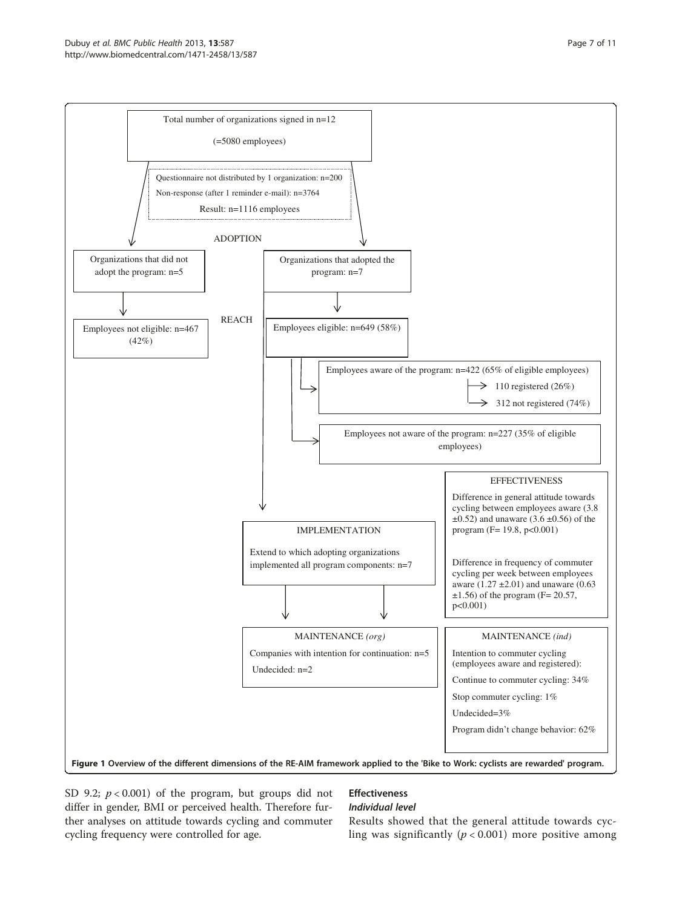<span id="page-6-0"></span>

SD 9.2;  $p < 0.001$ ) of the program, but groups did not differ in gender, BMI or perceived health. Therefore further analyses on attitude towards cycling and commuter cycling frequency were controlled for age.

## Effectiveness

## Individual level

Results showed that the general attitude towards cycling was significantly  $(p < 0.001)$  more positive among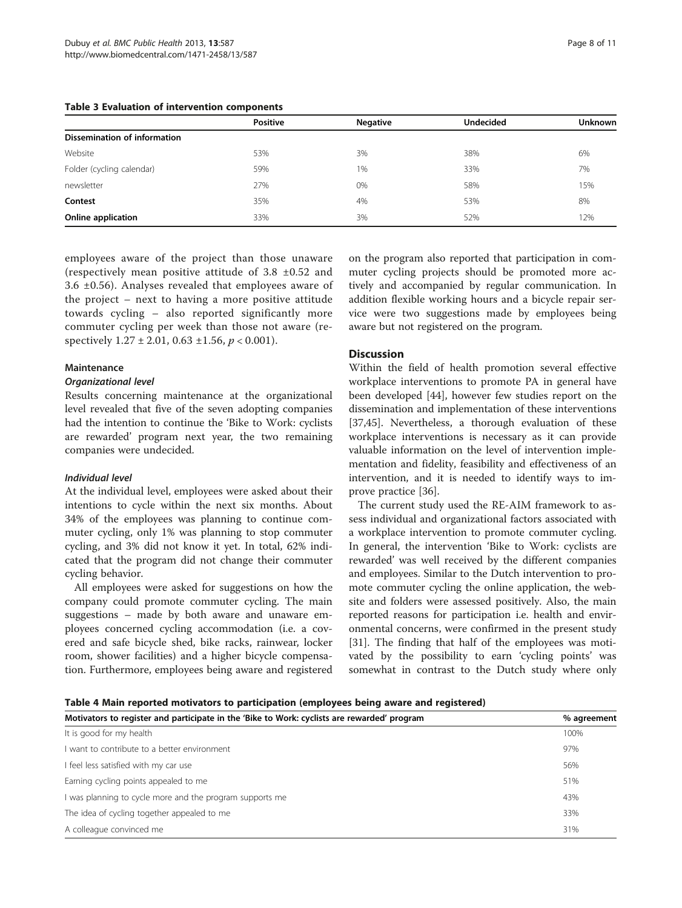<span id="page-7-0"></span>

|  |  |  |  | Table 3 Evaluation of intervention components |  |
|--|--|--|--|-----------------------------------------------|--|
|--|--|--|--|-----------------------------------------------|--|

|                              | <b>Positive</b> | <b>Negative</b> | <b>Undecided</b> | Unknown |  |  |
|------------------------------|-----------------|-----------------|------------------|---------|--|--|
| Dissemination of information |                 |                 |                  |         |  |  |
| Website                      | 53%             | 3%              | 38%              | 6%      |  |  |
| Folder (cycling calendar)    | 59%             | 1%              | 33%              | 7%      |  |  |
| newsletter                   | 27%             | 0%              | 58%              | 15%     |  |  |
| Contest                      | 35%             | 4%              | 53%              | 8%      |  |  |
| Online application           | 33%             | 3%              | 52%              | 12%     |  |  |
|                              |                 |                 |                  |         |  |  |

employees aware of the project than those unaware (respectively mean positive attitude of 3.8 ±0.52 and 3.6 ±0.56). Analyses revealed that employees aware of the project – next to having a more positive attitude towards cycling – also reported significantly more commuter cycling per week than those not aware (respectively  $1.27 \pm 2.01$ ,  $0.63 \pm 1.56$ ,  $p < 0.001$ ).

#### **Maintenance**

#### Organizational level

Results concerning maintenance at the organizational level revealed that five of the seven adopting companies had the intention to continue the 'Bike to Work: cyclists are rewarded' program next year, the two remaining companies were undecided.

#### Individual level

At the individual level, employees were asked about their intentions to cycle within the next six months. About 34% of the employees was planning to continue commuter cycling, only 1% was planning to stop commuter cycling, and 3% did not know it yet. In total, 62% indicated that the program did not change their commuter cycling behavior.

All employees were asked for suggestions on how the company could promote commuter cycling. The main suggestions – made by both aware and unaware employees concerned cycling accommodation (i.e. a covered and safe bicycle shed, bike racks, rainwear, locker room, shower facilities) and a higher bicycle compensation. Furthermore, employees being aware and registered

on the program also reported that participation in commuter cycling projects should be promoted more actively and accompanied by regular communication. In addition flexible working hours and a bicycle repair service were two suggestions made by employees being aware but not registered on the program.

## **Discussion**

Within the field of health promotion several effective workplace interventions to promote PA in general have been developed [[44\]](#page-10-0), however few studies report on the dissemination and implementation of these interventions [[37,](#page-9-0)[45\]](#page-10-0). Nevertheless, a thorough evaluation of these workplace interventions is necessary as it can provide valuable information on the level of intervention implementation and fidelity, feasibility and effectiveness of an intervention, and it is needed to identify ways to improve practice [[36\]](#page-9-0).

The current study used the RE-AIM framework to assess individual and organizational factors associated with a workplace intervention to promote commuter cycling. In general, the intervention 'Bike to Work: cyclists are rewarded' was well received by the different companies and employees. Similar to the Dutch intervention to promote commuter cycling the online application, the website and folders were assessed positively. Also, the main reported reasons for participation i.e. health and environmental concerns, were confirmed in the present study [[31\]](#page-9-0). The finding that half of the employees was motivated by the possibility to earn 'cycling points' was somewhat in contrast to the Dutch study where only

Table 4 Main reported motivators to participation (employees being aware and registered)

| Motivators to register and participate in the 'Bike to Work: cyclists are rewarded' program | % agreement |
|---------------------------------------------------------------------------------------------|-------------|
| It is good for my health                                                                    | 100%        |
| I want to contribute to a better environment                                                | 97%         |
| I feel less satisfied with my car use                                                       | 56%         |
| Earning cycling points appealed to me                                                       | 51%         |
| I was planning to cycle more and the program supports me                                    | 43%         |
| The idea of cycling together appealed to me                                                 | 33%         |
| A colleague convinced me                                                                    | 31%         |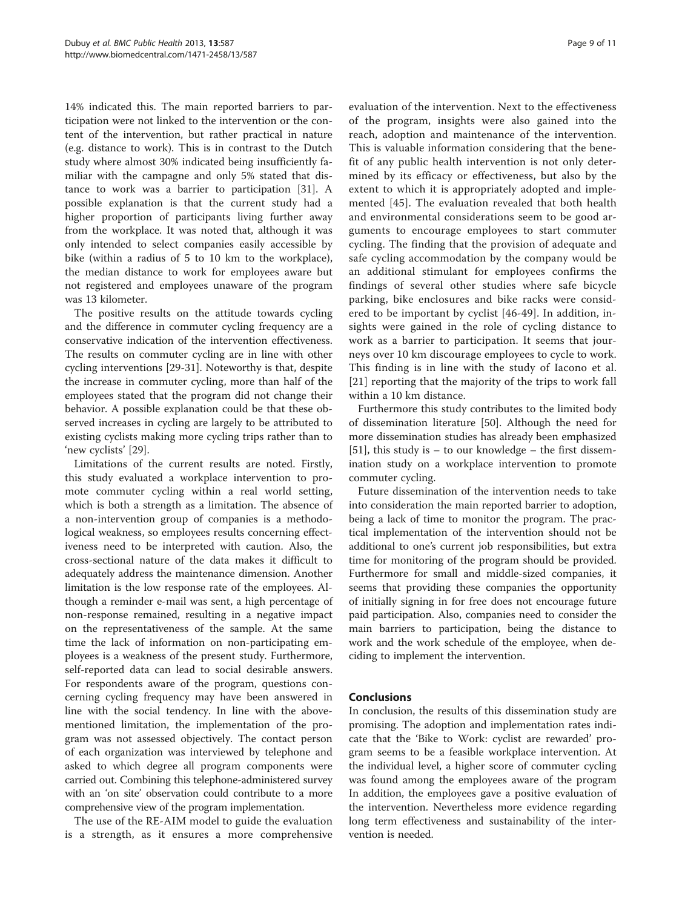14% indicated this. The main reported barriers to participation were not linked to the intervention or the content of the intervention, but rather practical in nature (e.g. distance to work). This is in contrast to the Dutch study where almost 30% indicated being insufficiently familiar with the campagne and only 5% stated that distance to work was a barrier to participation [[31\]](#page-9-0). A possible explanation is that the current study had a higher proportion of participants living further away from the workplace. It was noted that, although it was only intended to select companies easily accessible by bike (within a radius of 5 to 10 km to the workplace), the median distance to work for employees aware but not registered and employees unaware of the program was 13 kilometer.

The positive results on the attitude towards cycling and the difference in commuter cycling frequency are a conservative indication of the intervention effectiveness. The results on commuter cycling are in line with other cycling interventions [\[29-31](#page-9-0)]. Noteworthy is that, despite the increase in commuter cycling, more than half of the employees stated that the program did not change their behavior. A possible explanation could be that these observed increases in cycling are largely to be attributed to existing cyclists making more cycling trips rather than to 'new cyclists' [\[29](#page-9-0)].

Limitations of the current results are noted. Firstly, this study evaluated a workplace intervention to promote commuter cycling within a real world setting, which is both a strength as a limitation. The absence of a non-intervention group of companies is a methodological weakness, so employees results concerning effectiveness need to be interpreted with caution. Also, the cross-sectional nature of the data makes it difficult to adequately address the maintenance dimension. Another limitation is the low response rate of the employees. Although a reminder e-mail was sent, a high percentage of non-response remained, resulting in a negative impact on the representativeness of the sample. At the same time the lack of information on non-participating employees is a weakness of the present study. Furthermore, self-reported data can lead to social desirable answers. For respondents aware of the program, questions concerning cycling frequency may have been answered in line with the social tendency. In line with the abovementioned limitation, the implementation of the program was not assessed objectively. The contact person of each organization was interviewed by telephone and asked to which degree all program components were carried out. Combining this telephone-administered survey with an 'on site' observation could contribute to a more comprehensive view of the program implementation.

The use of the RE-AIM model to guide the evaluation is a strength, as it ensures a more comprehensive evaluation of the intervention. Next to the effectiveness of the program, insights were also gained into the reach, adoption and maintenance of the intervention. This is valuable information considering that the benefit of any public health intervention is not only determined by its efficacy or effectiveness, but also by the extent to which it is appropriately adopted and implemented [[45\]](#page-10-0). The evaluation revealed that both health and environmental considerations seem to be good arguments to encourage employees to start commuter cycling. The finding that the provision of adequate and safe cycling accommodation by the company would be an additional stimulant for employees confirms the findings of several other studies where safe bicycle parking, bike enclosures and bike racks were considered to be important by cyclist [[46-49\]](#page-10-0). In addition, insights were gained in the role of cycling distance to work as a barrier to participation. It seems that journeys over 10 km discourage employees to cycle to work. This finding is in line with the study of Iacono et al. [[21](#page-9-0)] reporting that the majority of the trips to work fall within a 10 km distance.

Furthermore this study contributes to the limited body of dissemination literature [\[50\]](#page-10-0). Although the need for more dissemination studies has already been emphasized [[51\]](#page-10-0), this study is  $-$  to our knowledge  $-$  the first dissemination study on a workplace intervention to promote commuter cycling.

Future dissemination of the intervention needs to take into consideration the main reported barrier to adoption, being a lack of time to monitor the program. The practical implementation of the intervention should not be additional to one's current job responsibilities, but extra time for monitoring of the program should be provided. Furthermore for small and middle-sized companies, it seems that providing these companies the opportunity of initially signing in for free does not encourage future paid participation. Also, companies need to consider the main barriers to participation, being the distance to work and the work schedule of the employee, when deciding to implement the intervention.

## Conclusions

In conclusion, the results of this dissemination study are promising. The adoption and implementation rates indicate that the 'Bike to Work: cyclist are rewarded' program seems to be a feasible workplace intervention. At the individual level, a higher score of commuter cycling was found among the employees aware of the program In addition, the employees gave a positive evaluation of the intervention. Nevertheless more evidence regarding long term effectiveness and sustainability of the intervention is needed.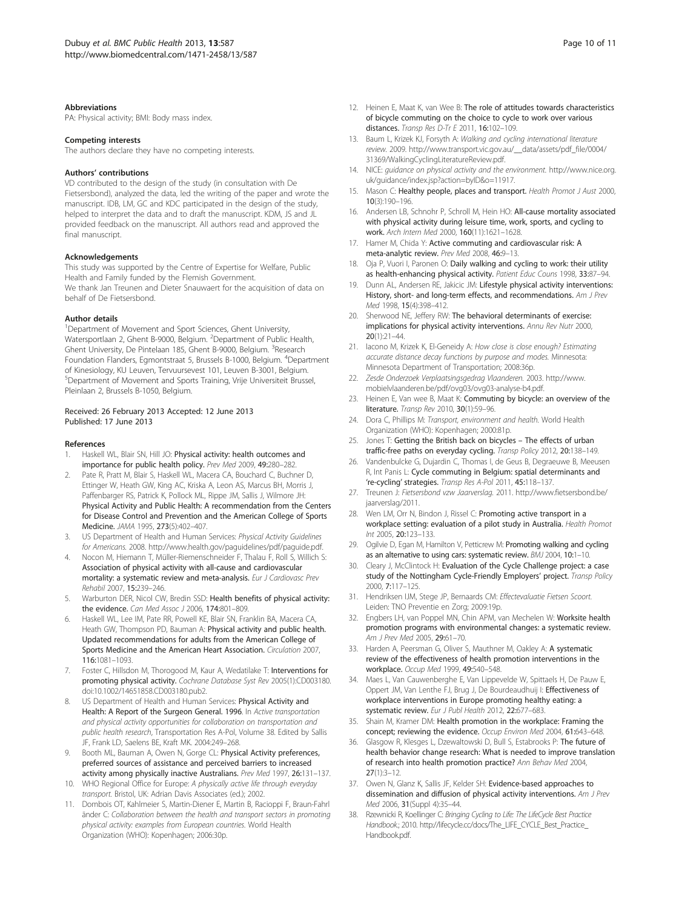#### <span id="page-9-0"></span>**Abbreviations**

PA: Physical activity; BMI: Body mass index.

#### Competing interests

The authors declare they have no competing interests.

#### Authors' contributions

VD contributed to the design of the study (in consultation with De Fietsersbond), analyzed the data, led the writing of the paper and wrote the manuscript. IDB, LM, GC and KDC participated in the design of the study, helped to interpret the data and to draft the manuscript. KDM, JS and JL provided feedback on the manuscript. All authors read and approved the final manuscript.

#### Acknowledgements

This study was supported by the Centre of Expertise for Welfare, Public Health and Family funded by the Flemish Government. We thank Jan Treunen and Dieter Snauwaert for the acquisition of data on behalf of De Fietsersbond.

#### Author details

<sup>1</sup>Department of Movement and Sport Sciences, Ghent University, Watersportlaan 2, Ghent B-9000, Belgium. <sup>2</sup>Department of Public Health, Ghent University, De Pintelaan 185, Ghent B-9000, Belgium. <sup>3</sup>Research Foundation Flanders, Egmontstraat 5, Brussels B-1000, Belgium. <sup>4</sup>Department of Kinesiology, KU Leuven, Tervuursevest 101, Leuven B-3001, Belgium. 5 Department of Movement and Sports Training, Vrije Universiteit Brussel, Pleinlaan 2, Brussels B-1050, Belgium.

#### Received: 26 February 2013 Accepted: 12 June 2013 Published: 17 June 2013

#### References

- 1. Haskell WL, Blair SN, Hill JO: Physical activity: health outcomes and importance for public health policy. Prev Med 2009, 49:280–282.
- 2. Pate R, Pratt M, Blair S, Haskell WL, Macera CA, Bouchard C, Buchner D, Ettinger W, Heath GW, King AC, Kriska A, Leon AS, Marcus BH, Morris J, Paffenbarger RS, Patrick K, Pollock ML, Rippe JM, Sallis J, Wilmore JH: Physical Activity and Public Health: A recommendation from the Centers for Disease Control and Prevention and the American College of Sports Medicine. JAMA 1995, 273(5):402–407.
- 3. US Department of Health and Human Services: Physical Activity Guidelines for Americans. 2008.<http://www.health.gov/paguidelines/pdf/paguide.pdf>.
- 4. Nocon M, Hiemann T, Müller-Riemenschneider F, Thalau F, Roll S, Willich S: Association of physical activity with all-cause and cardiovascular mortality: a systematic review and meta-analysis. Eur J Cardiovasc Prev Rehabil 2007, 15:239–246.
- Warburton DER, Nicol CW, Bredin SSD: Health benefits of physical activity: the evidence. Can Med Assoc J 2006, 174:801–809.
- 6. Haskell WL, Lee IM, Pate RR, Powell KE, Blair SN, Franklin BA, Macera CA, Heath GW, Thompson PD, Bauman A: Physical activity and public health. Updated recommendations for adults from the American College of Sports Medicine and the American Heart Association. Circulation 2007, 116:1081–1093.
- 7. Foster C, Hillsdon M, Thorogood M, Kaur A, Wedatilake T: Interventions for promoting physical activity. Cochrane Database Syst Rev 2005(1):CD003180. doi[:10.1002/14651858.CD003180.pub2.](http://dx.doi.org/10.1002/14651858.CD003180.pub2)
- US Department of Health and Human Services: Physical Activity and Health: A Report of the Surgeon General. 1996. In Active transportation and physical activity opportunities for collaboration on transportation and public health research, Transportation Res A-Pol, Volume 38. Edited by Sallis JF, Frank LD, Saelens BE, Kraft MK. 2004:249–268.
- 9. Booth ML, Bauman A, Owen N, Gorge CL: Physical Activity preferences, preferred sources of assistance and perceived barriers to increased activity among physically inactive Australians. Prev Med 1997, 26:131-137.
- 10. WHO Regional Office for Europe: A physically active life through everyday transport. Bristol, UK: Adrian Davis Associates (ed.); 2002.
- 11. Dombois OT, Kahlmeier S, Martin-Diener E, Martin B, Racioppi F, Braun-Fahrl änder C: Collaboration between the health and transport sectors in promoting physical activity: examples from European countries. World Health Organization (WHO): Kopenhagen; 2006:30p.
- 12. Heinen F. Maat K, van Wee B: The role of attitudes towards characteristics of bicycle commuting on the choice to cycle to work over various distances. Transp Res D-Tr E 2011, 16:102–109.
- 13. Baum L, Krizek KJ, Forsyth A: Walking and cycling international literature review. 2009. [http://www.transport.vic.gov.au/\\_\\_data/assets/pdf\\_file/0004/](http://www.transport.vic.gov.au/__data/assets/pdf_file/0004/31369/WalkingCyclingLiteratureReview.pdf) [31369/WalkingCyclingLiteratureReview.pdf](http://www.transport.vic.gov.au/__data/assets/pdf_file/0004/31369/WalkingCyclingLiteratureReview.pdf).
- 14. NICE: guidance on physical activity and the environment. [http://www.nice.org.](http://www.nice.org.uk/guidance/index.jsp?action=byID&o=11917) [uk/guidance/index.jsp?action=byID&o=11917.](http://www.nice.org.uk/guidance/index.jsp?action=byID&o=11917)
- 15. Mason C: Healthy people, places and transport. Health Promot J Aust 2000, 10(3):190–196.
- 16. Andersen LB, Schnohr P, Schroll M, Hein HO: All-cause mortality associated with physical activity during leisure time, work, sports, and cycling to work. Arch Intern Med 2000, 160(11):1621–1628.
- 17. Hamer M, Chida Y: Active commuting and cardiovascular risk: A meta-analytic review. Prev Med 2008, 46:9–13.
- 18. Oja P, Vuori I, Paronen O: Daily walking and cycling to work: their utility as health-enhancing physical activity. Patient Educ Couns 1998, 33:87–94.
- 19. Dunn AL, Andersen RE, Jakicic JM: Lifestyle physical activity interventions: History, short- and long-term effects, and recommendations. Am J Prev Med 1998, 15(4):398–412.
- 20. Sherwood NE, Jeffery RW: The behavioral determinants of exercise: implications for physical activity interventions. Annu Rev Nutr 2000, 20(1):21–44.
- 21. Iacono M, Krizek K, El-Geneidy A: How close is close enough? Estimating accurate distance decay functions by purpose and modes. Minnesota: Minnesota Department of Transportation; 2008:36p.
- 22. Zesde Onderzoek Verplaatsingsgedrag Vlaanderen. 2003. [http://www.](http://www.mobielvlaanderen.be/pdf/ovg03/ovg03-analyse-b4.pdf) [mobielvlaanderen.be/pdf/ovg03/ovg03-analyse-b4.pdf.](http://www.mobielvlaanderen.be/pdf/ovg03/ovg03-analyse-b4.pdf)
- 23. Heinen E, Van wee B, Maat K: Commuting by bicycle: an overview of the literature. Transp Rev 2010, 30(1):59–96.
- 24. Dora C, Phillips M: Transport, environment and health. World Health Organization (WHO): Kopenhagen; 2000:81p.
- 25. Jones T: Getting the British back on bicycles The effects of urban traffic-free paths on everyday cycling. Transp Policy 2012, 20:138–149.
- 26. Vandenbulcke G, Dujardin C, Thomas I, de Geus B, Degraeuwe B, Meeusen R, Int Panis L: Cycle commuting in Belgium: spatial determinants and 're-cycling' strategies. Transp Res A-Pol 2011, 45:118–137.
- 27. Treunen J: Fietsersbond vzw Jaarverslag. 2011. [http://www.fietsersbond.be/](http://www.fietsersbond.be/jaarverslag/2011) [jaarverslag/2011.](http://www.fietsersbond.be/jaarverslag/2011)
- 28. Wen LM, Orr N, Bindon J, Rissel C: Promoting active transport in a workplace setting: evaluation of a pilot study in Australia. Health Promot Int 2005, 20:123–133.
- 29. Ogilvie D, Egan M, Hamilton V, Petticrew M: Promoting walking and cycling as an alternative to using cars: systematic review. BMJ 2004, 10:1–10.
- 30. Cleary J, McClintock H: Evaluation of the Cycle Challenge project: a case study of the Nottingham Cycle-Friendly Employers' project. Transp Policy 2000, 7:117–125.
- 31. Hendriksen IJM, Stege JP, Bernaards CM: Effectevaluatie Fietsen Scoort. Leiden: TNO Preventie en Zorg; 2009:19p.
- 32. Engbers LH, van Poppel MN, Chin APM, van Mechelen W: Worksite health promotion programs with environmental changes: a systematic review. Am J Prev Med 2005, 29:61–70.
- 33. Harden A, Peersman G, Oliver S, Mauthner M, Oakley A: A systematic review of the effectiveness of health promotion interventions in the workplace. Occup Med 1999, 49:540–548.
- 34. Maes L, Van Cauwenberghe E, Van Lippevelde W, Spittaels H, De Pauw E, Oppert JM, Van Lenthe FJ, Brug J, De Bourdeaudhuij I: Effectiveness of workplace interventions in Europe promoting healthy eating: a systematic review. Eur J Publ Health 2012, 22:677–683.
- 35. Shain M, Kramer DM: Health promotion in the workplace: Framing the concept; reviewing the evidence. Occup Environ Med 2004, 61:643-648.
- 36. Glasgow R, Klesges L, Dzewaltowski D, Bull S, Estabrooks P: The future of health behavior change research: What is needed to improve translation of research into health promotion practice? Ann Behav Med 2004, 27(1):3–12.
- 37. Owen N, Glanz K, Sallis JF, Kelder SH: Evidence-based approaches to dissemination and diffusion of physical activity interventions. Am J Prev Med 2006, 31(Suppl 4):35–44.
- 38. Rzewnicki R, Koellinger C: Bringing Cycling to Life: The LifeCycle Best Practice Handbook.; 2010. [http://lifecycle.cc/docs/The\\_LIFE\\_CYCLE\\_Best\\_Practice\\_](http://lifecycle.cc/docs/The_LIFE_CYCLE_Best_Practice_Handbook.pdf) [Handbook.pdf.](http://lifecycle.cc/docs/The_LIFE_CYCLE_Best_Practice_Handbook.pdf)